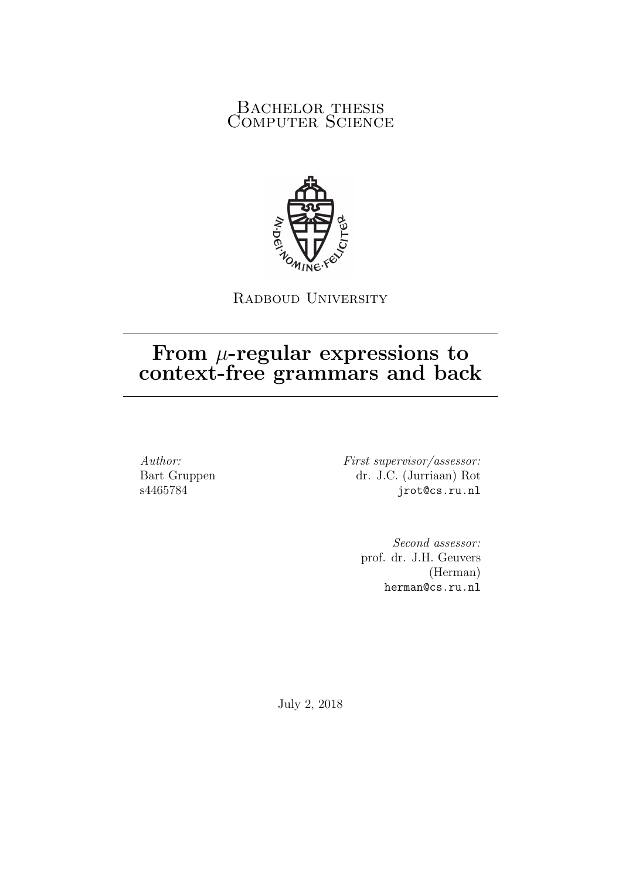#### BACHELOR THESIS COMPUTER SCIENCE



RADBOUD UNIVERSITY

### From  $\mu$ -regular expressions to context-free grammars and back

Author: Bart Gruppen s4465784

First supervisor/assessor: dr. J.C. (Jurriaan) Rot jrot@cs.ru.nl

> Second assessor: prof. dr. J.H. Geuvers (Herman) herman@cs.ru.nl

July 2, 2018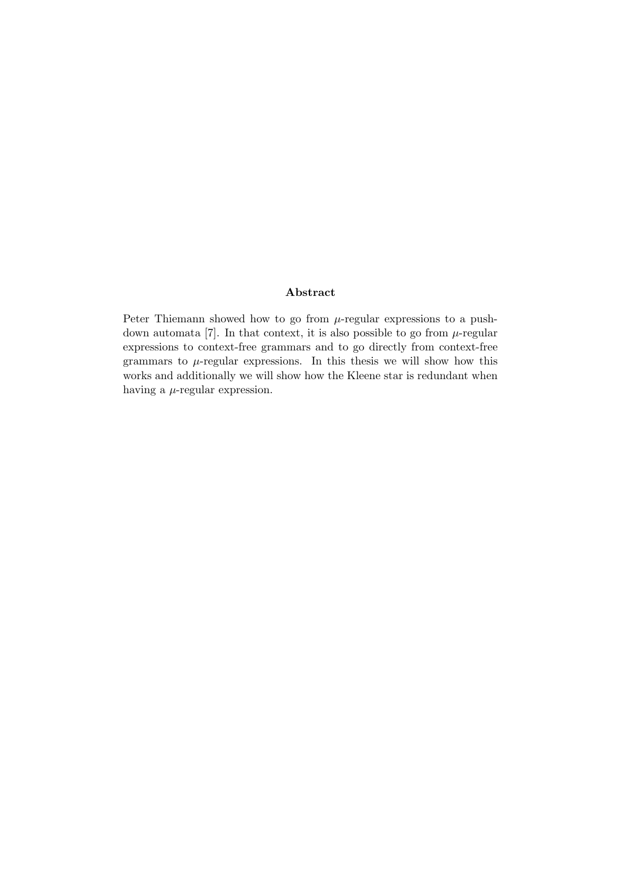#### Abstract

Peter Thiemann showed how to go from  $\mu$ -regular expressions to a pushdown automata [7]. In that context, it is also possible to go from  $\mu$ -regular expressions to context-free grammars and to go directly from context-free grammars to  $\mu$ -regular expressions. In this thesis we will show how this works and additionally we will show how the Kleene star is redundant when having a  $\mu$ -regular expression.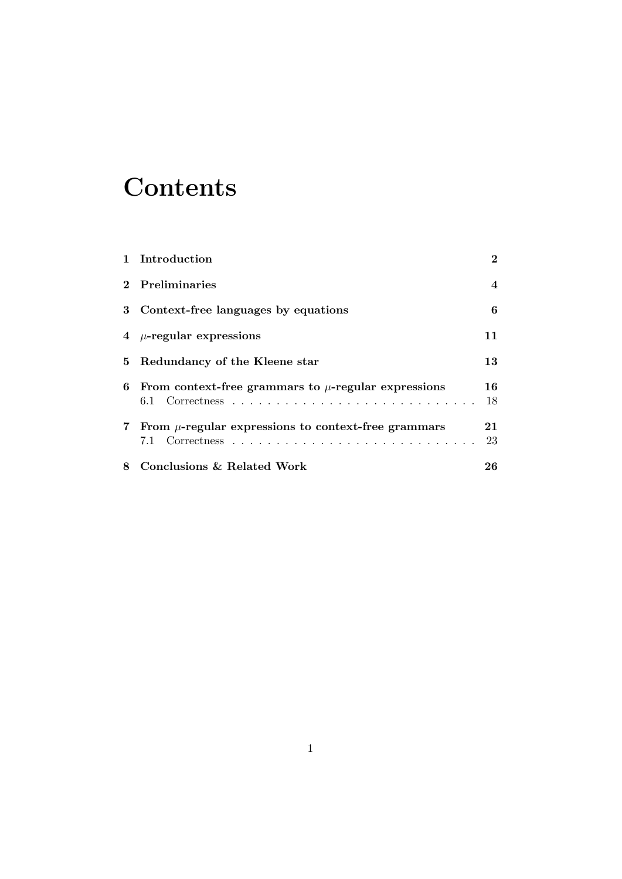## **Contents**

| 1 Introduction                                             | $\bf{2}$       |
|------------------------------------------------------------|----------------|
| 2 Preliminaries                                            | $\overline{4}$ |
| 3 Context-free languages by equations                      | 6              |
| 4 $\mu$ -regular expressions                               | 11             |
| 5 Redundancy of the Kleene star                            | 13             |
| 6 From context-free grammars to $\mu$ -regular expressions | 16<br>18       |
| 7 From $\mu$ -regular expressions to context-free grammars | 21<br>23       |
| 8 Conclusions & Related Work                               | 26             |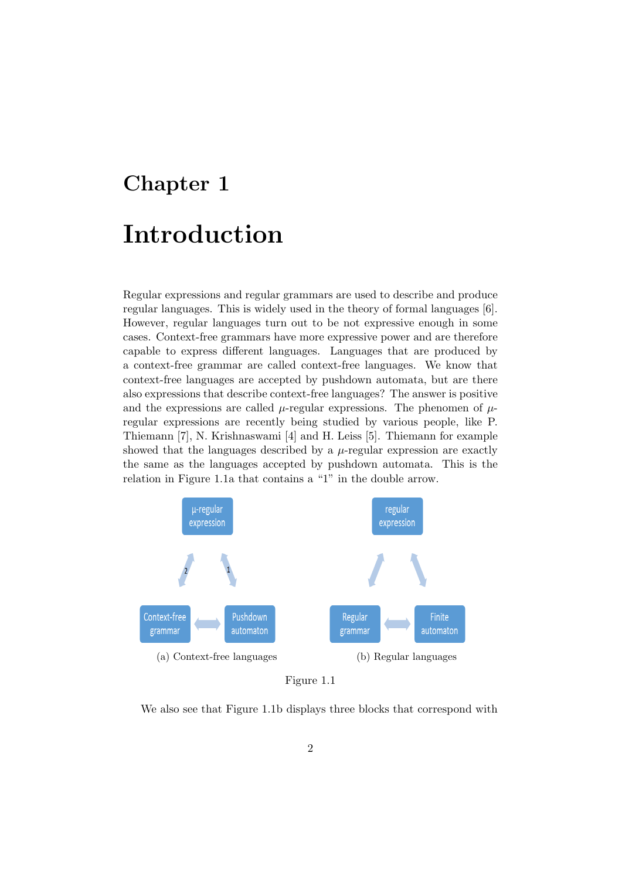# Chapter 1 Introduction

Regular expressions and regular grammars are used to describe and produce regular languages. This is widely used in the theory of formal languages [6]. However, regular languages turn out to be not expressive enough in some cases. Context-free grammars have more expressive power and are therefore capable to express different languages. Languages that are produced by a context-free grammar are called context-free languages. We know that context-free languages are accepted by pushdown automata, but are there also expressions that describe context-free languages? The answer is positive and the expressions are called  $\mu$ -regular expressions. The phenomen of  $\mu$ regular expressions are recently being studied by various people, like P. Thiemann [7], N. Krishnaswami [4] and H. Leiss [5]. Thiemann for example showed that the languages described by a  $\mu$ -regular expression are exactly the same as the languages accepted by pushdown automata. This is the relation in Figure 1.1a that contains a "1" in the double arrow.



Figure 1.1

We also see that Figure 1.1b displays three blocks that correspond with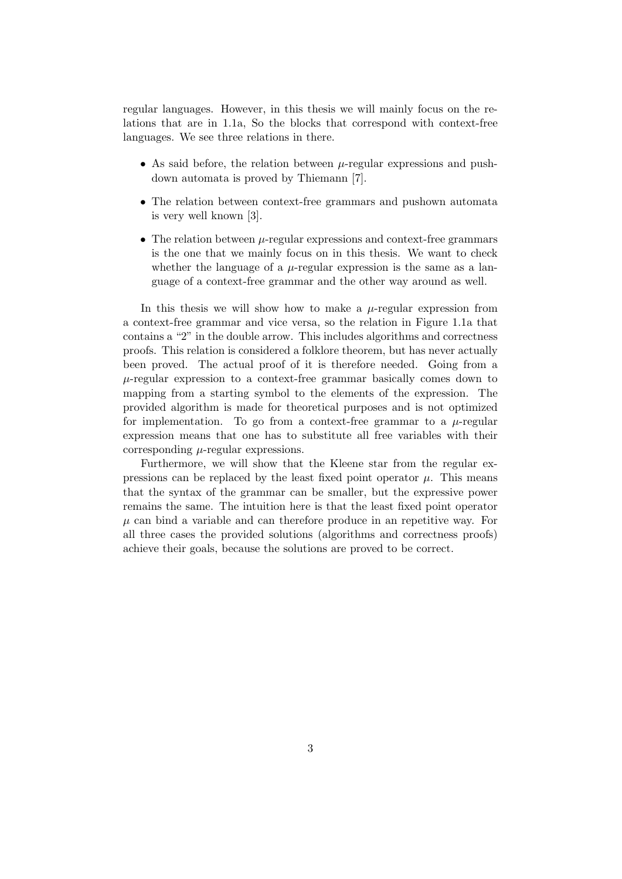regular languages. However, in this thesis we will mainly focus on the relations that are in 1.1a, So the blocks that correspond with context-free languages. We see three relations in there.

- As said before, the relation between  $\mu$ -regular expressions and pushdown automata is proved by Thiemann [7].
- The relation between context-free grammars and pushown automata is very well known [3].
- The relation between  $\mu$ -regular expressions and context-free grammars is the one that we mainly focus on in this thesis. We want to check whether the language of a  $\mu$ -regular expression is the same as a language of a context-free grammar and the other way around as well.

In this thesis we will show how to make a  $\mu$ -regular expression from a context-free grammar and vice versa, so the relation in Figure 1.1a that contains a "2" in the double arrow. This includes algorithms and correctness proofs. This relation is considered a folklore theorem, but has never actually been proved. The actual proof of it is therefore needed. Going from a  $\mu$ -regular expression to a context-free grammar basically comes down to mapping from a starting symbol to the elements of the expression. The provided algorithm is made for theoretical purposes and is not optimized for implementation. To go from a context-free grammar to a  $\mu$ -regular expression means that one has to substitute all free variables with their corresponding  $\mu$ -regular expressions.

Furthermore, we will show that the Kleene star from the regular expressions can be replaced by the least fixed point operator  $\mu$ . This means that the syntax of the grammar can be smaller, but the expressive power remains the same. The intuition here is that the least fixed point operator  $\mu$  can bind a variable and can therefore produce in an repetitive way. For all three cases the provided solutions (algorithms and correctness proofs) achieve their goals, because the solutions are proved to be correct.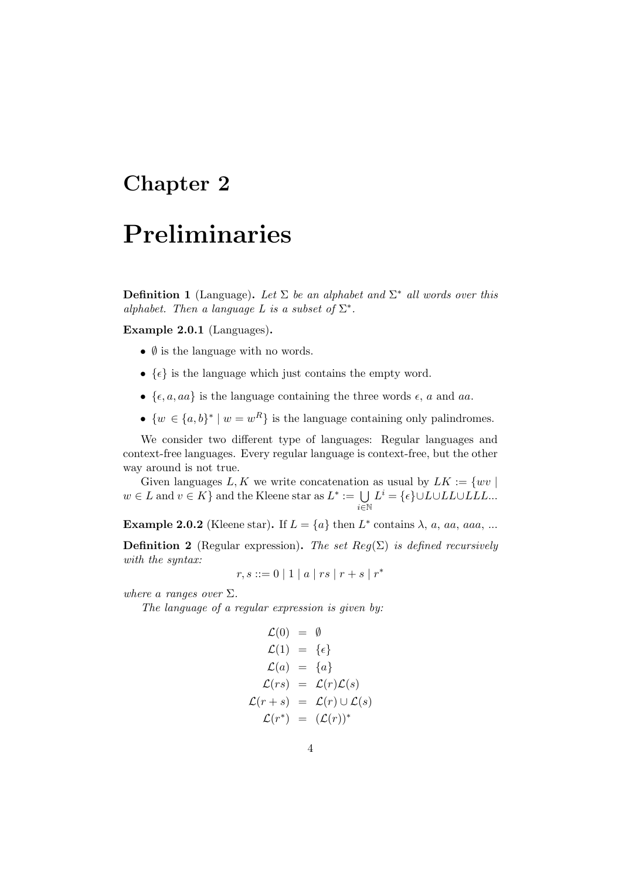## Preliminaries

**Definition 1** (Language). Let  $\Sigma$  be an alphabet and  $\Sigma^*$  all words over this alphabet. Then a language L is a subset of  $\Sigma^*$ .

Example 2.0.1 (Languages).

- $\emptyset$  is the language with no words.
- $\{\epsilon\}$  is the language which just contains the empty word.
- $\{\epsilon, a, aa\}$  is the language containing the three words  $\epsilon$ , a and aa.
- $\{w \in \{a, b\}^* \mid w = w^R\}$  is the language containing only palindromes.

We consider two different type of languages: Regular languages and context-free languages. Every regular language is context-free, but the other way around is not true.

Given languages L, K we write concatenation as usual by  $LK := \{ wv \mid$  $w \in L$  and  $v \in K$  and the Kleene star as  $L^* := \bigcup$ i∈N  $L^i = \{ \epsilon \} \cup L \cup LL \cup LL \ldots$ 

**Example 2.0.2** (Kleene star). If  $L = \{a\}$  then  $L^*$  contains  $\lambda$ , a, aa, aaa, ...

**Definition 2** (Regular expression). The set  $Reg(\Sigma)$  is defined recursively with the syntax:

 $r, s ::= 0 | 1 | a | rs | r + s | r^*$ 

where a ranges over  $\Sigma$ .

The language of a regular expression is given by:

$$
\mathcal{L}(0) = \emptyset
$$
\n
$$
\mathcal{L}(1) = \{ \epsilon \}
$$
\n
$$
\mathcal{L}(a) = \{ a \}
$$
\n
$$
\mathcal{L}(rs) = \mathcal{L}(r)\mathcal{L}(s)
$$
\n
$$
\mathcal{L}(r+s) = \mathcal{L}(r) \cup \mathcal{L}(s)
$$
\n
$$
\mathcal{L}(r^*) = (\mathcal{L}(r))^*
$$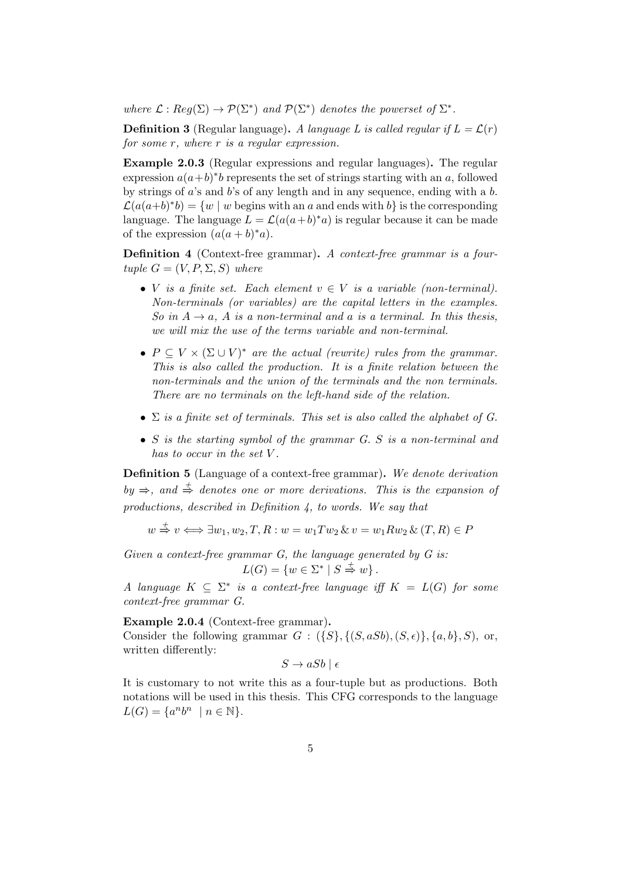where  $\mathcal{L}: \text{Reg}(\Sigma) \to \mathcal{P}(\Sigma^*)$  and  $\mathcal{P}(\Sigma^*)$  denotes the powerset of  $\Sigma^*$ .

**Definition 3** (Regular language). A language L is called regular if  $L = \mathcal{L}(r)$ for some r, where r is a regular expression.

Example 2.0.3 (Regular expressions and regular languages). The regular expression  $a(a+b)^*b$  represents the set of strings starting with an a, followed by strings of  $a$ 's and  $b$ 's of any length and in any sequence, ending with a  $b$ .  $\mathcal{L}(a(a+b)^*b) = \{w \mid w \text{ begins with an } a \text{ and ends with } b\}$  is the corresponding language. The language  $L = \mathcal{L}(a(a+b)^*a)$  is regular because it can be made of the expression  $(a(a + b)^*a)$ .

Definition 4 (Context-free grammar). A context-free grammar is a fourtuple  $G = (V, P, \Sigma, S)$  where

- V is a finite set. Each element  $v \in V$  is a variable (non-terminal). Non-terminals (or variables) are the capital letters in the examples. So in  $A \rightarrow a$ , A is a non-terminal and a is a terminal. In this thesis, we will mix the use of the terms variable and non-terminal.
- $P \subseteq V \times (\Sigma \cup V)^*$  are the actual (rewrite) rules from the grammar. This is also called the production. It is a finite relation between the non-terminals and the union of the terminals and the non terminals. There are no terminals on the left-hand side of the relation.
- $\Sigma$  is a finite set of terminals. This set is also called the alphabet of G.
- S is the starting symbol of the grammar G. S is a non-terminal and has to occur in the set V.

Definition 5 (Language of a context-free grammar). We denote derivation  $by \Rightarrow$ , and  $\stackrel{+}{\Rightarrow}$  denotes one or more derivations. This is the expansion of productions, described in Definition 4, to words. We say that

$$
w \stackrel{+}{\Rightarrow} v \Longleftrightarrow \exists w_1, w_2, T, R : w = w_1Tw_2 \& v = w_1Rw_2 \& (T, R) \in P
$$

Given a context-free grammar  $G$ , the language generated by  $G$  is:  $L(G) = \{w \in \Sigma^* \mid S \stackrel{+}{\Rightarrow} w\}.$ 

A language  $K \subseteq \Sigma^*$  is a context-free language iff  $K = L(G)$  for some context-free grammar G.

Example 2.0.4 (Context-free grammar). Consider the following grammar  $G: (\{S\}, \{(S, aSb), (S, \epsilon)\}, \{a, b\}, S)$ , or,

written differently:

$$
S \to aSb \mid \epsilon
$$

It is customary to not write this as a four-tuple but as productions. Both notations will be used in this thesis. This CFG corresponds to the language  $L(G) = \{a^n b^n \mid n \in \mathbb{N}\}.$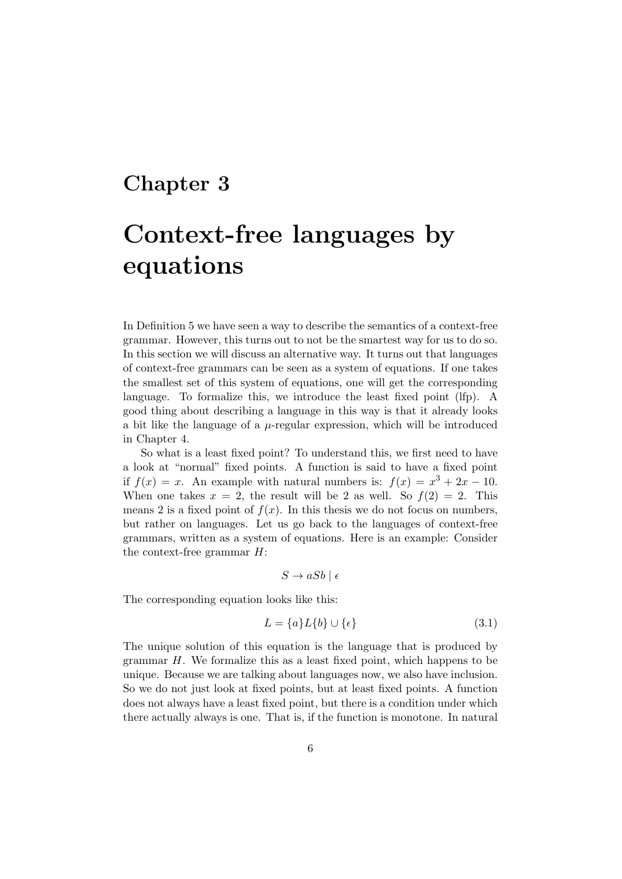## Context-free languages by equations

In Definition 5 we have seen a way to describe the semantics of a context-free grammar. However, this turns out to not be the smartest way for us to do so. In this section we will discuss an alternative way. It turns out that languages of context-free grammars can be seen as a system of equations. If one takes the smallest set of this system of equations, one will get the corresponding language. To formalize this, we introduce the least fixed point (lfp). A good thing about describing a language in this way is that it already looks a bit like the language of a  $\mu$ -regular expression, which will be introduced in Chapter 4.

So what is a least fixed point? To understand this, we first need to have a look at "normal" fixed points. A function is said to have a fixed point if  $f(x) = x$ . An example with natural numbers is:  $f(x) = x^3 + 2x - 10$ . When one takes  $x = 2$ , the result will be 2 as well. So  $f(2) = 2$ . This means 2 is a fixed point of  $f(x)$ . In this thesis we do not focus on numbers, but rather on languages. Let us go back to the languages of context-free grammars, written as a system of equations. Here is an example: Consider the context-free grammar  $H$ :

$$
S \to aSb \mid \epsilon
$$

The corresponding equation looks like this:

$$
L = \{a\}L\{b\} \cup \{\epsilon\} \tag{3.1}
$$

The unique solution of this equation is the language that is produced by grammar H. We formalize this as a least fixed point, which happens to be unique. Because we are talking about languages now, we also have inclusion. So we do not just look at fixed points, but at least fixed points. A function does not always have a least fixed point, but there is a condition under which there actually always is one. That is, if the function is monotone. In natural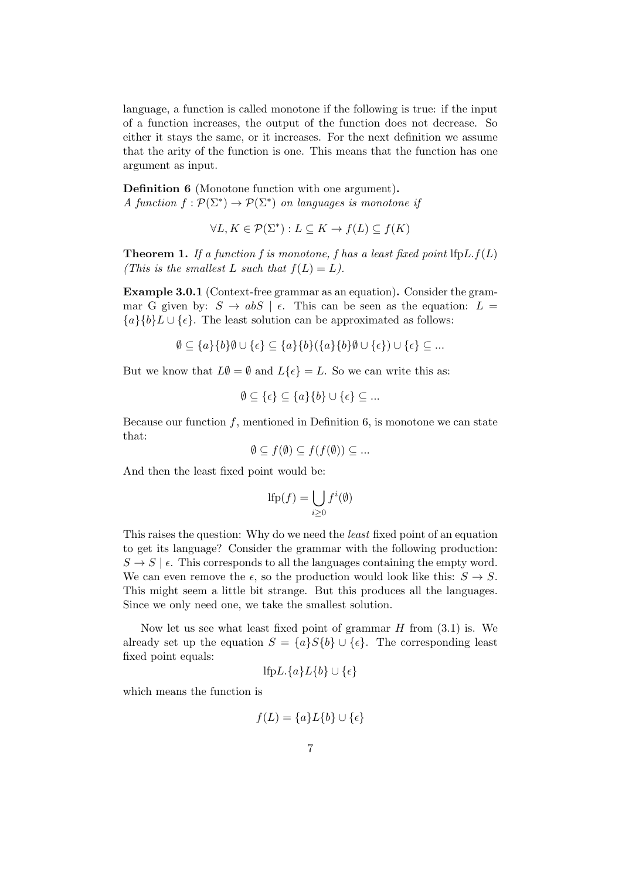language, a function is called monotone if the following is true: if the input of a function increases, the output of the function does not decrease. So either it stays the same, or it increases. For the next definition we assume that the arity of the function is one. This means that the function has one argument as input.

Definition 6 (Monotone function with one argument). A function  $f: \mathcal{P}(\Sigma^*) \to \mathcal{P}(\Sigma^*)$  on languages is monotone if

 $\forall L, K \in \mathcal{P}(\Sigma^*) : L \subseteq K \to f(L) \subseteq f(K)$ 

**Theorem 1.** If a function f is monotone, f has a least fixed point  $lfpL.f(L)$ (This is the smallest L such that  $f(L) = L$ ).

Example 3.0.1 (Context-free grammar as an equation). Consider the grammar G given by:  $S \to abS \mid \epsilon$ . This can be seen as the equation:  $L =$  ${a}{b}L \cup {e}$ . The least solution can be approximated as follows:

$$
\emptyset \subseteq \{a\}\{b\}\emptyset \cup \{\epsilon\} \subseteq \{a\}\{b\}(\{a\}\{b\}\emptyset \cup \{\epsilon\}) \cup \{\epsilon\} \subseteq \dots
$$

But we know that  $L\emptyset = \emptyset$  and  $L\{\epsilon\} = L$ . So we can write this as:

$$
\emptyset \subseteq \{\epsilon\} \subseteq \{a\}\{b\} \cup \{\epsilon\} \subseteq \dots
$$

Because our function  $f$ , mentioned in Definition 6, is monotone we can state that:

$$
\emptyset \subseteq f(\emptyset) \subseteq f(f(\emptyset)) \subseteq \dots
$$

And then the least fixed point would be:

$$
\text{lfp}(f) = \bigcup_{i \ge 0} f^i(\emptyset)
$$

This raises the question: Why do we need the least fixed point of an equation to get its language? Consider the grammar with the following production:  $S \to S \mid \epsilon$ . This corresponds to all the languages containing the empty word. We can even remove the  $\epsilon$ , so the production would look like this:  $S \to S$ . This might seem a little bit strange. But this produces all the languages. Since we only need one, we take the smallest solution.

Now let us see what least fixed point of grammar  $H$  from  $(3.1)$  is. We already set up the equation  $S = \{a\}S\{b\} \cup \{\epsilon\}$ . The corresponding least fixed point equals:

$$
\text{lfp}L.\{a\}L\{b\}\cup\{\epsilon\}
$$

which means the function is

$$
f(L) = \{a\}L\{b\} \cup \{\epsilon\}
$$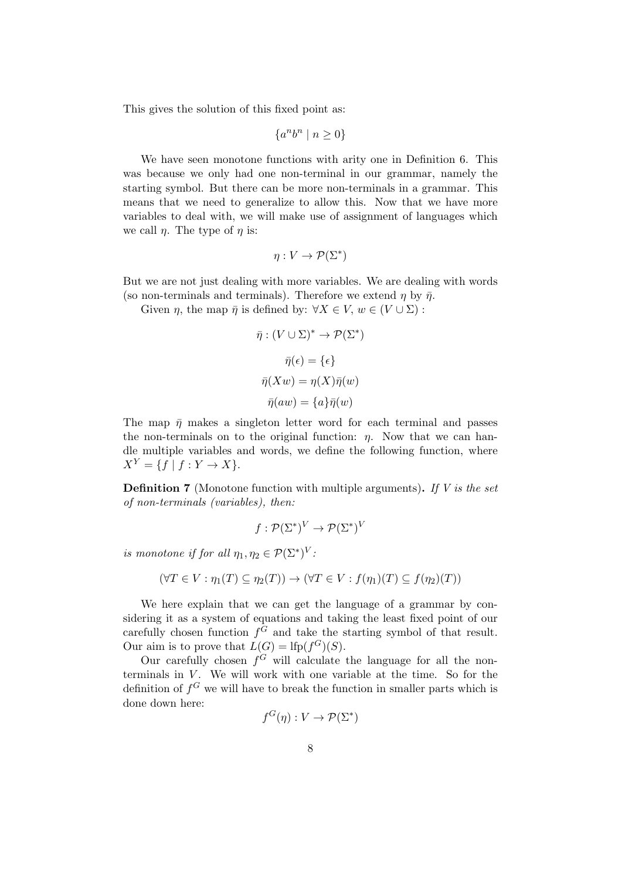This gives the solution of this fixed point as:

$$
\{a^n b^n \mid n \ge 0\}
$$

We have seen monotone functions with arity one in Definition 6. This was because we only had one non-terminal in our grammar, namely the starting symbol. But there can be more non-terminals in a grammar. This means that we need to generalize to allow this. Now that we have more variables to deal with, we will make use of assignment of languages which we call  $\eta$ . The type of  $\eta$  is:

$$
\eta: V \to \mathcal{P}(\Sigma^*)
$$

But we are not just dealing with more variables. We are dealing with words (so non-terminals and terminals). Therefore we extend  $\eta$  by  $\bar{\eta}$ .

Given  $\eta$ , the map  $\overline{\eta}$  is defined by:  $\forall X \in V$ ,  $w \in (V \cup \Sigma)$ :

$$
\bar{\eta} : (V \cup \Sigma)^* \to \mathcal{P}(\Sigma^*)
$$

$$
\bar{\eta}(\epsilon) = \{\epsilon\}
$$

$$
\bar{\eta}(Xw) = \eta(X)\bar{\eta}(w)
$$

$$
\bar{\eta}(aw) = \{a\}\bar{\eta}(w)
$$

The map  $\bar{\eta}$  makes a singleton letter word for each terminal and passes the non-terminals on to the original function:  $\eta$ . Now that we can handle multiple variables and words, we define the following function, where  $X^Y = \{f | f : Y \to X\}.$ 

**Definition 7** (Monotone function with multiple arguments). If V is the set of non-terminals (variables), then:

$$
f: \mathcal{P}(\Sigma^*)^V \to \mathcal{P}(\Sigma^*)^V
$$

is monotone if for all  $\eta_1, \eta_2 \in \mathcal{P}(\Sigma^*)^V$ :

$$
(\forall T \in V : \eta_1(T) \subseteq \eta_2(T)) \to (\forall T \in V : f(\eta_1)(T) \subseteq f(\eta_2)(T))
$$

We here explain that we can get the language of a grammar by considering it as a system of equations and taking the least fixed point of our carefully chosen function  $f^G$  and take the starting symbol of that result. Our aim is to prove that  $L(G) = \text{lfp}(f^G)(S)$ .

Our carefully chosen  $f^G$  will calculate the language for all the nonterminals in  $V$ . We will work with one variable at the time. So for the definition of  $f^G$  we will have to break the function in smaller parts which is done down here:

$$
f^G(\eta): V \to \mathcal{P}(\Sigma^*)
$$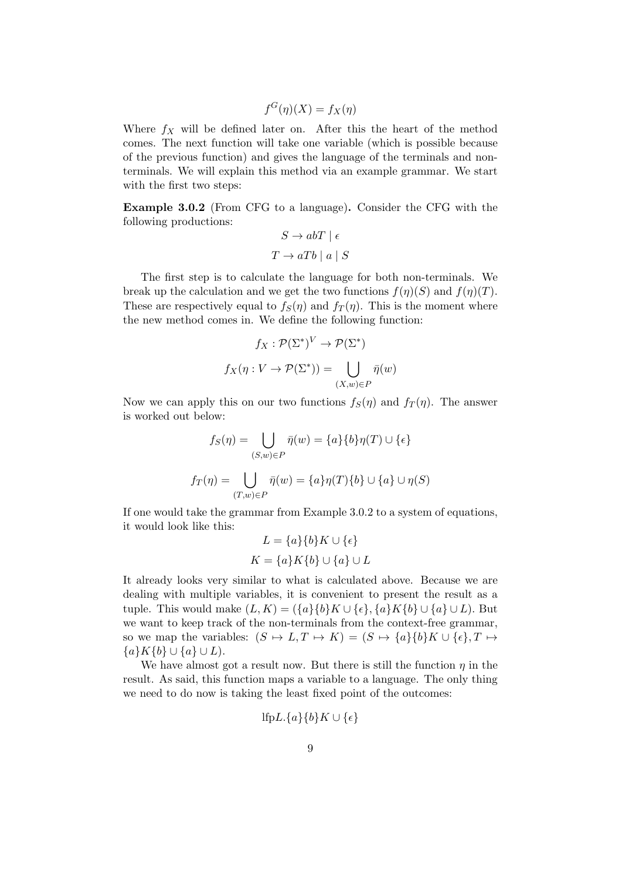$$
f^G(\eta)(X) = f_X(\eta)
$$

Where  $f_X$  will be defined later on. After this the heart of the method comes. The next function will take one variable (which is possible because of the previous function) and gives the language of the terminals and nonterminals. We will explain this method via an example grammar. We start with the first two steps:

Example 3.0.2 (From CFG to a language). Consider the CFG with the following productions:

$$
S \to abT \mid \epsilon
$$

$$
T \to aTb \mid a \mid S
$$

The first step is to calculate the language for both non-terminals. We break up the calculation and we get the two functions  $f(\eta)(S)$  and  $f(\eta)(T)$ . These are respectively equal to  $f_S(\eta)$  and  $f_T(\eta)$ . This is the moment where the new method comes in. We define the following function:

$$
f_X: \mathcal{P}(\Sigma^*)^V \to \mathcal{P}(\Sigma^*)
$$

$$
f_X(\eta: V \to \mathcal{P}(\Sigma^*)) = \bigcup_{(X,w) \in P} \bar{\eta}(w)
$$

Now we can apply this on our two functions  $f_S(\eta)$  and  $f_T(\eta)$ . The answer is worked out below:

$$
f_S(\eta) = \bigcup_{(S,w)\in P} \bar{\eta}(w) = \{a\} \{b\} \eta(T) \cup \{\epsilon\}
$$

$$
f_T(\eta) = \bigcup_{(T,w)\in P} \bar{\eta}(w) = \{a\} \eta(T) \{b\} \cup \{a\} \cup \eta(S)
$$

If one would take the grammar from Example 3.0.2 to a system of equations, it would look like this:

$$
L = \{a\}\{b\}K \cup \{\epsilon\}
$$

$$
K = \{a\}K\{b\} \cup \{a\} \cup L
$$

It already looks very similar to what is calculated above. Because we are dealing with multiple variables, it is convenient to present the result as a tuple. This would make  $(L, K) = (\{a\}\{b\}K \cup \{\epsilon\}, \{a\}K\{b\} \cup \{a\} \cup L)$ . But we want to keep track of the non-terminals from the context-free grammar, so we map the variables:  $(S \mapsto L, T \mapsto K) = (S \mapsto \{a\}\{b\}K \cup \{\epsilon\}, T \mapsto$  ${a}K{b} \cup {a} \cup L$ .

We have almost got a result now. But there is still the function  $\eta$  in the result. As said, this function maps a variable to a language. The only thing we need to do now is taking the least fixed point of the outcomes:

$$
\mathrm{lfp}L.\{a\}\{b\}K\cup\{\epsilon\}
$$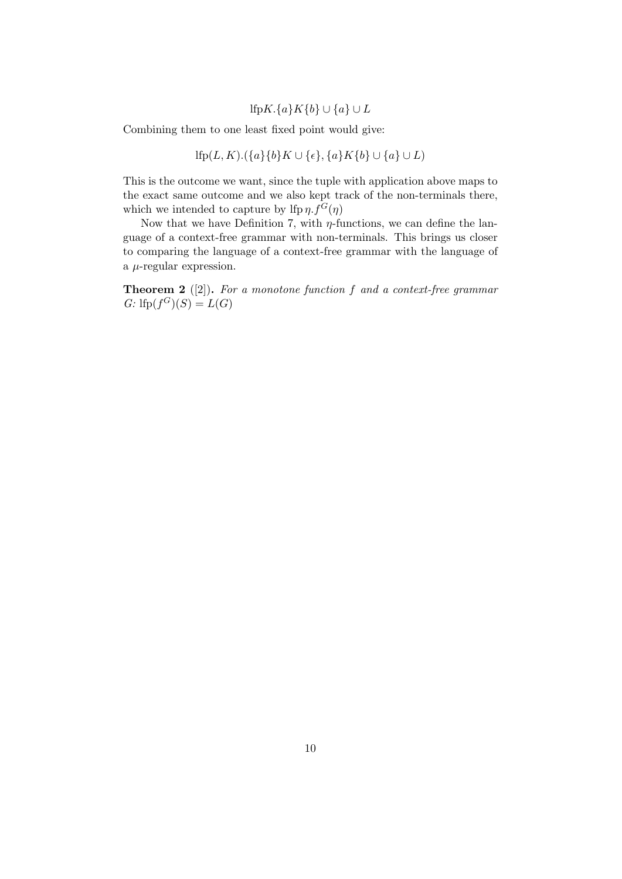#### lfpK.{a}K{b} ∪ {a} ∪ L

Combining them to one least fixed point would give:

$$
\mathrm{lfp}(L,K).(\{a\}\{b\}K \cup \{\epsilon\},\{a\}K\{b\} \cup \{a\} \cup L)
$$

This is the outcome we want, since the tuple with application above maps to the exact same outcome and we also kept track of the non-terminals there, which we intended to capture by lfp  $\eta$ .  $f^G(\eta)$ 

Now that we have Definition 7, with  $\eta$ -functions, we can define the language of a context-free grammar with non-terminals. This brings us closer to comparing the language of a context-free grammar with the language of a  $\mu$ -regular expression.

**Theorem 2** ([2]). For a monotone function f and a context-free grammar  $G:$  lfp $(f^{G})(S) = L(G)$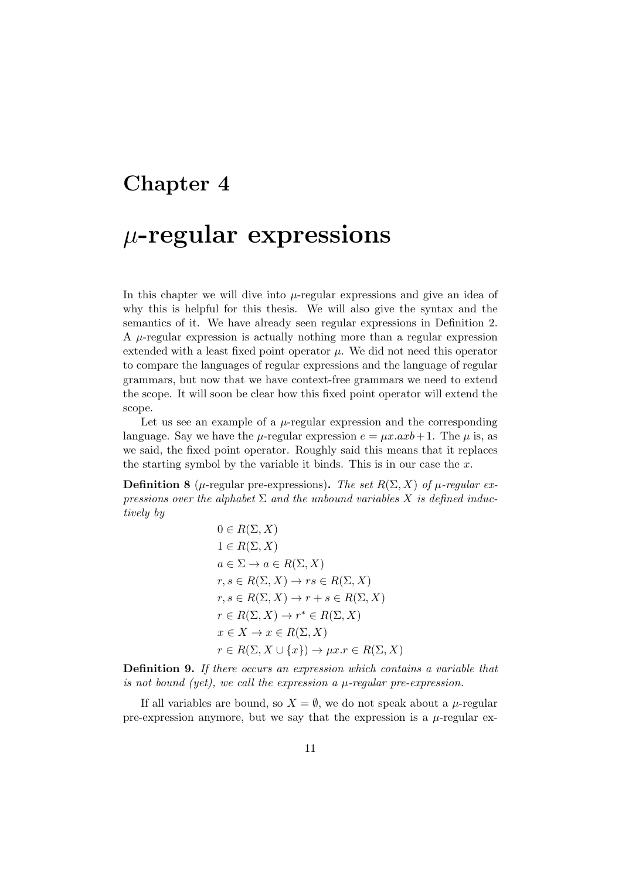## $\mu$ -regular expressions

In this chapter we will dive into  $\mu$ -regular expressions and give an idea of why this is helpful for this thesis. We will also give the syntax and the semantics of it. We have already seen regular expressions in Definition 2. A  $\mu$ -regular expression is actually nothing more than a regular expression extended with a least fixed point operator  $\mu$ . We did not need this operator to compare the languages of regular expressions and the language of regular grammars, but now that we have context-free grammars we need to extend the scope. It will soon be clear how this fixed point operator will extend the scope.

Let us see an example of a  $\mu$ -regular expression and the corresponding language. Say we have the  $\mu$ -regular expression  $e = \mu x.axb + 1$ . The  $\mu$  is, as we said, the fixed point operator. Roughly said this means that it replaces the starting symbol by the variable it binds. This is in our case the  $x$ .

**Definition 8** ( $\mu$ -regular pre-expressions). The set R( $\Sigma$ , X) of  $\mu$ -regular expressions over the alphabet  $\Sigma$  and the unbound variables X is defined inductively by

$$
0 \in R(\Sigma, X)
$$
  
\n
$$
1 \in R(\Sigma, X)
$$
  
\n
$$
a \in \Sigma \to a \in R(\Sigma, X)
$$
  
\n
$$
r, s \in R(\Sigma, X) \to rs \in R(\Sigma, X)
$$
  
\n
$$
r, s \in R(\Sigma, X) \to r + s \in R(\Sigma, X)
$$
  
\n
$$
r \in R(\Sigma, X) \to r^* \in R(\Sigma, X)
$$
  
\n
$$
x \in X \to x \in R(\Sigma, X)
$$
  
\n
$$
r \in R(\Sigma, X \cup \{x\}) \to \mu x \colon r \in R(\Sigma, X)
$$

Definition 9. If there occurs an expression which contains a variable that is not bound (yet), we call the expression a  $\mu$ -regular pre-expression.

If all variables are bound, so  $X = \emptyset$ , we do not speak about a *µ*-regular pre-expression anymore, but we say that the expression is a  $\mu$ -regular ex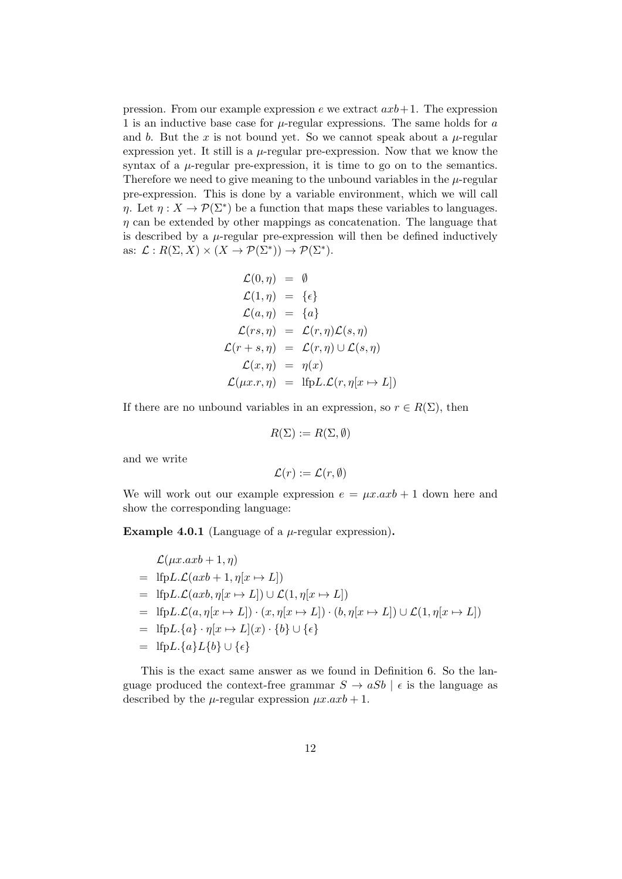pression. From our example expression e we extract  $axb+1$ . The expression 1 is an inductive base case for  $\mu$ -regular expressions. The same holds for a and b. But the x is not bound yet. So we cannot speak about a  $\mu$ -regular expression yet. It still is a  $\mu$ -regular pre-expression. Now that we know the syntax of a  $\mu$ -regular pre-expression, it is time to go on to the semantics. Therefore we need to give meaning to the unbound variables in the  $\mu$ -regular pre-expression. This is done by a variable environment, which we will call  $\eta$ . Let  $\eta: X \to \mathcal{P}(\Sigma^*)$  be a function that maps these variables to languages.  $\eta$  can be extended by other mappings as concatenation. The language that is described by a  $\mu$ -regular pre-expression will then be defined inductively as:  $\mathcal{L}: R(\Sigma, X) \times (X \to \mathcal{P}(\Sigma^*)) \to \mathcal{P}(\Sigma^*)$ .

$$
\mathcal{L}(0,\eta) = \emptyset
$$
  
\n
$$
\mathcal{L}(1,\eta) = \{ \epsilon \}
$$
  
\n
$$
\mathcal{L}(a,\eta) = \{ a \}
$$
  
\n
$$
\mathcal{L}(rs,\eta) = \mathcal{L}(r,\eta)\mathcal{L}(s,\eta)
$$
  
\n
$$
\mathcal{L}(r+s,\eta) = \mathcal{L}(r,\eta) \cup \mathcal{L}(s,\eta)
$$
  
\n
$$
\mathcal{L}(x,\eta) = \eta(x)
$$
  
\n
$$
\mathcal{L}(\mu x.r, \eta) = \text{IfpL.L}(r, \eta[x \mapsto L])
$$

If there are no unbound variables in an expression, so  $r \in R(\Sigma)$ , then

$$
R(\Sigma) := R(\Sigma, \emptyset)
$$

and we write

$$
\mathcal{L}(r):=\mathcal{L}(r,\emptyset)
$$

We will work out our example expression  $e = \mu x. a x b + 1$  down here and show the corresponding language:

**Example 4.0.1** (Language of a  $\mu$ -regular expression).

$$
\mathcal{L}(\mu x. axb + 1, \eta)
$$
\n
$$
= \text{Ifp}L \cdot \mathcal{L}(axb + 1, \eta[x \mapsto L])
$$
\n
$$
= \text{Ifp}L \cdot \mathcal{L}(axb, \eta[x \mapsto L]) \cup \mathcal{L}(1, \eta[x \mapsto L])
$$
\n
$$
= \text{Ifp}L \cdot \mathcal{L}(a, \eta[x \mapsto L]) \cdot (x, \eta[x \mapsto L]) \cdot (b, \eta[x \mapsto L]) \cup \mathcal{L}(1, \eta[x \mapsto L])
$$
\n
$$
= \text{Ifp}L \cdot \{a\} \cdot \eta[x \mapsto L](x) \cdot \{b\} \cup \{\epsilon\}
$$
\n
$$
= \text{Ifp}L \cdot \{a\}L\{b\} \cup \{\epsilon\}
$$

This is the exact same answer as we found in Definition 6. So the language produced the context-free grammar  $S \to aSb \mid \epsilon$  is the language as described by the  $\mu$ -regular expression  $\mu x.axb + 1$ .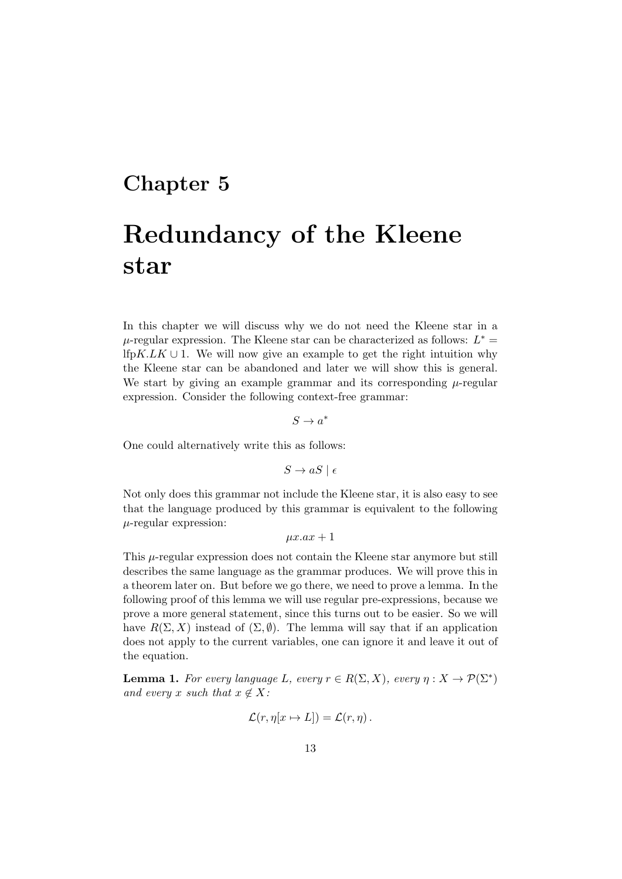## Redundancy of the Kleene star

In this chapter we will discuss why we do not need the Kleene star in a  $\mu$ -regular expression. The Kleene star can be characterized as follows:  $L^* =$ lfpK.LK ∪ 1. We will now give an example to get the right intuition why the Kleene star can be abandoned and later we will show this is general. We start by giving an example grammar and its corresponding  $\mu$ -regular expression. Consider the following context-free grammar:

$$
S\to a^*
$$

One could alternatively write this as follows:

 $S \to aS \mid \epsilon$ 

Not only does this grammar not include the Kleene star, it is also easy to see that the language produced by this grammar is equivalent to the following  $\mu$ -regular expression:

 $\mu x.ax + 1$ 

This  $\mu$ -regular expression does not contain the Kleene star anymore but still describes the same language as the grammar produces. We will prove this in a theorem later on. But before we go there, we need to prove a lemma. In the following proof of this lemma we will use regular pre-expressions, because we prove a more general statement, since this turns out to be easier. So we will have  $R(\Sigma, X)$  instead of  $(\Sigma, \emptyset)$ . The lemma will say that if an application does not apply to the current variables, one can ignore it and leave it out of the equation.

**Lemma 1.** For every language L, every  $r \in R(\Sigma, X)$ , every  $\eta: X \to \mathcal{P}(\Sigma^*)$ and every x such that  $x \notin X$ :

$$
\mathcal{L}(r,\eta[x \mapsto L]) = \mathcal{L}(r,\eta).
$$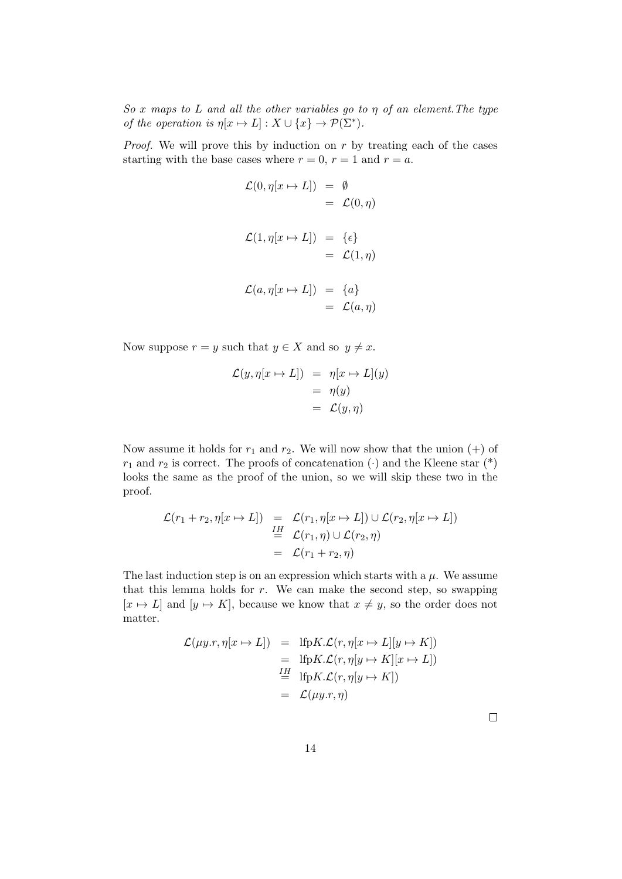So x maps to L and all the other variables go to  $\eta$  of an element. The type of the operation is  $\eta[x \mapsto L] : X \cup \{x\} \to \mathcal{P}(\Sigma^*)$ .

*Proof.* We will prove this by induction on  $r$  by treating each of the cases starting with the base cases where  $r = 0$ ,  $r = 1$  and  $r = a$ .

$$
\mathcal{L}(0, \eta[x \mapsto L]) = \emptyset
$$
  
=  $\mathcal{L}(0, \eta)$   

$$
\mathcal{L}(1, \eta[x \mapsto L]) = \{\epsilon\}
$$
  
=  $\mathcal{L}(1, \eta)$   

$$
\mathcal{L}(a, \eta[x \mapsto L]) = \{a\}
$$
  
=  $\mathcal{L}(a, \eta)$ 

Now suppose  $r = y$  such that  $y \in X$  and so  $y \neq x$ .

$$
\mathcal{L}(y, \eta[x \mapsto L]) = \eta[x \mapsto L](y)
$$
  
=  $\eta(y)$   
=  $\mathcal{L}(y, \eta)$ 

Now assume it holds for  $r_1$  and  $r_2$ . We will now show that the union  $(+)$  of  $r_1$  and  $r_2$  is correct. The proofs of concatenation ( $\cdot$ ) and the Kleene star (\*) looks the same as the proof of the union, so we will skip these two in the proof.

$$
\mathcal{L}(r_1 + r_2, \eta[x \mapsto L]) = \mathcal{L}(r_1, \eta[x \mapsto L]) \cup \mathcal{L}(r_2, \eta[x \mapsto L])
$$
  
\n
$$
\stackrel{IH}{=} \mathcal{L}(r_1, \eta) \cup \mathcal{L}(r_2, \eta)
$$
  
\n
$$
= \mathcal{L}(r_1 + r_2, \eta)
$$

The last induction step is on an expression which starts with a  $\mu$ . We assume that this lemma holds for  $r$ . We can make the second step, so swapping  $[x \mapsto L]$  and  $[y \mapsto K]$ , because we know that  $x \neq y$ , so the order does not matter.

$$
\mathcal{L}(\mu y.r, \eta[x \mapsto L]) = \text{lfp}K.\mathcal{L}(r, \eta[x \mapsto L][y \mapsto K])
$$
  
= 
$$
\text{lfp}K.\mathcal{L}(r, \eta[y \mapsto K][x \mapsto L])
$$
  
= 
$$
\text{lfp}K.\mathcal{L}(r, \eta[y \mapsto K])
$$
  
= 
$$
\mathcal{L}(\mu y.r, \eta)
$$

 $\Box$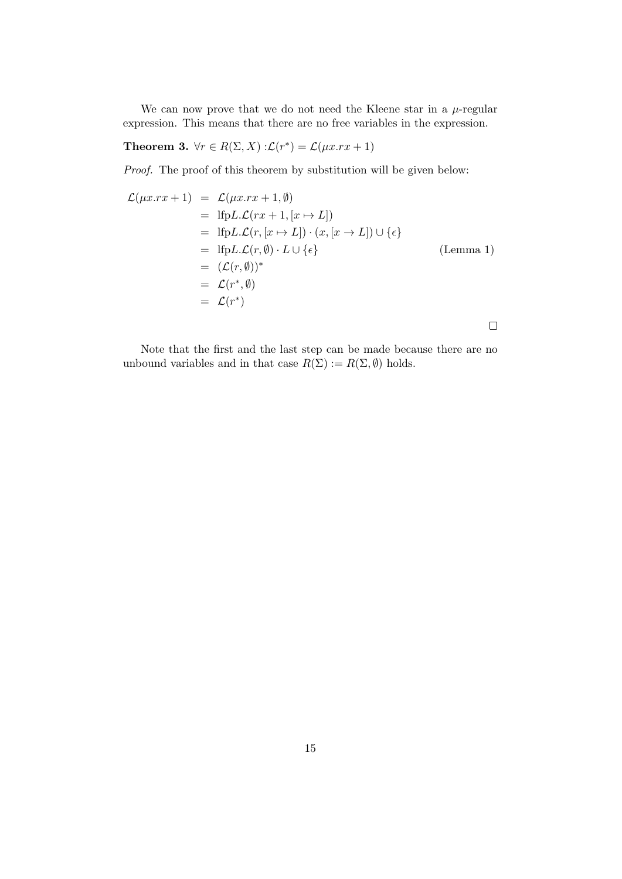We can now prove that we do not need the Kleene star in a  $\mu$ -regular expression. This means that there are no free variables in the expression.

**Theorem 3.** 
$$
\forall r \in R(\Sigma, X) : \mathcal{L}(r^*) = \mathcal{L}(\mu x . r x + 1)
$$

Proof. The proof of this theorem by substitution will be given below:

$$
\mathcal{L}(\mu x.rx + 1) = \mathcal{L}(\mu x.rx + 1, \emptyset)
$$
  
\n
$$
= \text{Ifp}L \mathcal{L}(rx + 1, [x \mapsto L])
$$
  
\n
$$
= \text{Ifp}L \mathcal{L}(r, [x \mapsto L]) \cdot (x, [x \to L]) \cup \{\epsilon\}
$$
  
\n
$$
= \text{Ifp}L \mathcal{L}(r, \emptyset) \cdot L \cup \{\epsilon\}
$$
  
\n
$$
= (\mathcal{L}(r, \emptyset))^*
$$
  
\n
$$
= \mathcal{L}(r^*, \emptyset)
$$
  
\n
$$
= \mathcal{L}(r^*)
$$
  
\n(Lemma 1)

Note that the first and the last step can be made because there are no unbound variables and in that case  $R(\Sigma) := R(\Sigma, \emptyset)$  holds.

 $\Box$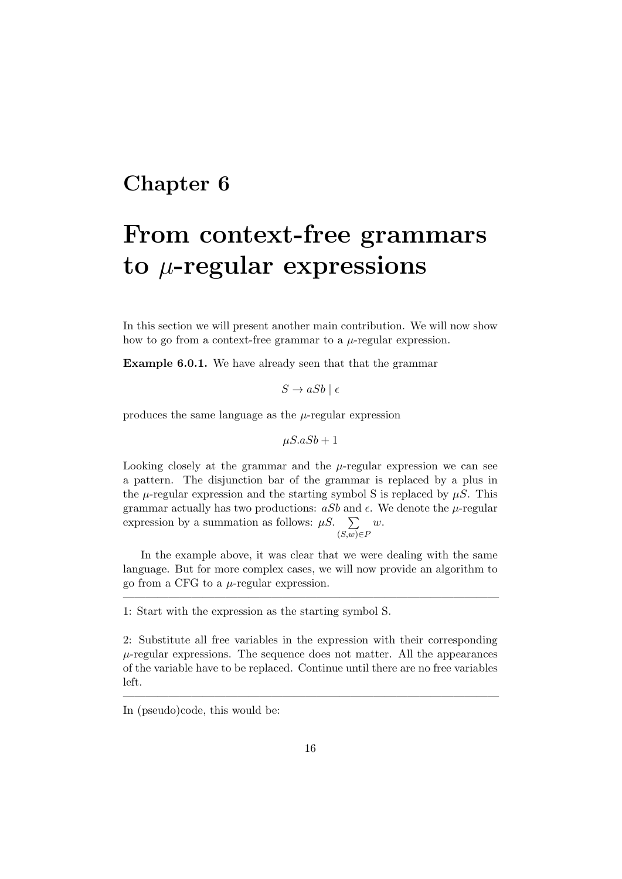## From context-free grammars to  $\mu$ -regular expressions

In this section we will present another main contribution. We will now show how to go from a context-free grammar to a  $\mu$ -regular expression.

Example 6.0.1. We have already seen that that the grammar

 $S \to aSb \mid \epsilon$ 

produces the same language as the  $\mu$ -regular expression

$$
\mu S.aSb+1
$$

Looking closely at the grammar and the  $\mu$ -regular expression we can see a pattern. The disjunction bar of the grammar is replaced by a plus in the  $\mu$ -regular expression and the starting symbol S is replaced by  $\mu S$ . This grammar actually has two productions:  $aSb$  and  $\epsilon$ . We denote the  $\mu$ -regular expression by a summation as follows:  $\mu S$ .  $(S,w) \in F$ w.

In the example above, it was clear that we were dealing with the same language. But for more complex cases, we will now provide an algorithm to go from a CFG to a  $\mu$ -regular expression.

—————————————————————————————————

1: Start with the expression as the starting symbol S.

2: Substitute all free variables in the expression with their corresponding  $\mu$ -regular expressions. The sequence does not matter. All the appearances of the variable have to be replaced. Continue until there are no free variables left.

—————————————————————————————————

In (pseudo)code, this would be: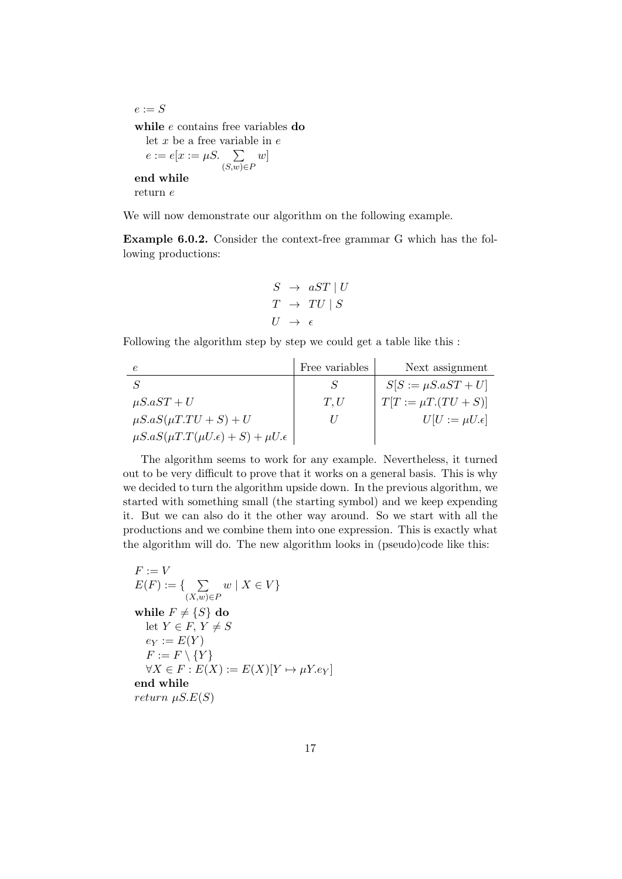$e := S$ while e contains free variables do let  $x$  be a free variable in  $e$  $e := e[x := \mu S. \quad \sum$  $(S,w) \in F$  $w$ ] end while return e

We will now demonstrate our algorithm on the following example.

Example 6.0.2. Consider the context-free grammar G which has the following productions:

$$
S \rightarrow aST \mid U
$$
  

$$
T \rightarrow TU \mid S
$$
  

$$
U \rightarrow \epsilon
$$

Following the algorithm step by step we could get a table like this :

|                                                          | Free variables | Next assignment          |
|----------------------------------------------------------|----------------|--------------------------|
|                                                          |                | $S[S := \mu S.aST + U]$  |
| $\mu$ S.aST + U                                          | T,U            | $T[T := \mu T.(TU + S)]$ |
| $\mu S.aS(\mu T.TU+S)+U$                                 |                | $U[U := \mu U.\epsilon]$ |
| $\mu S.aS(\mu T.T(\mu U.\epsilon) + S) + \mu U.\epsilon$ |                |                          |

The algorithm seems to work for any example. Nevertheless, it turned out to be very difficult to prove that it works on a general basis. This is why we decided to turn the algorithm upside down. In the previous algorithm, we started with something small (the starting symbol) and we keep expending it. But we can also do it the other way around. So we start with all the productions and we combine them into one expression. This is exactly what the algorithm will do. The new algorithm looks in (pseudo)code like this:

$$
F := V
$$
  
\n
$$
E(F) := \{ \sum_{(X,w) \in P} w \mid X \in V \}
$$
  
\nwhile  $F \neq \{S\}$  do  
\nlet  $Y \in F, Y \neq S$   
\n $e_Y := E(Y)$   
\n $F := F \setminus \{Y\}$   
\n $\forall X \in F : E(X) := E(X)[Y \mapsto \mu Y.e_Y]$   
\nend while  
\nreturn  $\mu S.E(S)$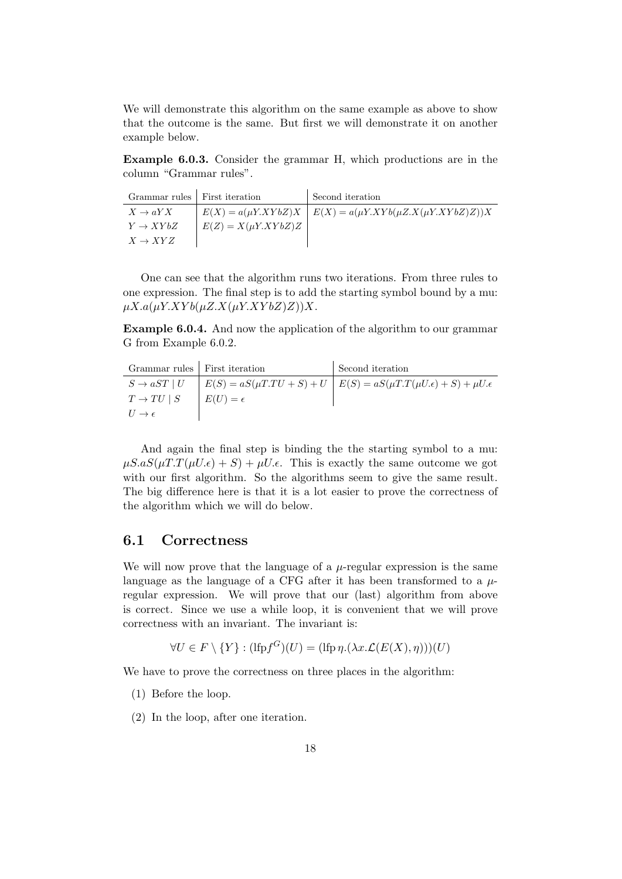We will demonstrate this algorithm on the same example as above to show that the outcome is the same. But first we will demonstrate it on another example below.

Example 6.0.3. Consider the grammar H, which productions are in the column "Grammar rules".

| Grammar rules   First iteration |                          | <sup>1</sup> Second iteration                                        |
|---------------------------------|--------------------------|----------------------------------------------------------------------|
| $X \to aYX$                     |                          | $E(X) = a(\mu Y.XYbZ)X$ $E(X) = a(\mu Y.XYb(\mu Z.X(\mu Y.XYbZ)Z))X$ |
| $Y \rightarrow XYbZ$            | $E(Z) = X(\mu Y. XYbZ)Z$ |                                                                      |
| $X \rightarrow XYZ$             |                          |                                                                      |

One can see that the algorithm runs two iterations. From three rules to one expression. The final step is to add the starting symbol bound by a mu:  $\mu X.a(\mu Y.XYb(\mu Z.X(\mu Y.XYbZ)Z))X.$ 

Example 6.0.4. And now the application of the algorithm to our grammar G from Example 6.0.2.

| Grammar rules   First iteration |                   | Second iteration                                                                                                         |
|---------------------------------|-------------------|--------------------------------------------------------------------------------------------------------------------------|
|                                 |                   | $S \rightarrow aST \mid U \mid E(S) = aS(\mu T.TU + S) + U \mid E(S) = aS(\mu T.T(\mu U.\epsilon) + S) + \mu U.\epsilon$ |
| $T \to TU \mid S$               | $E(U) = \epsilon$ |                                                                                                                          |
| $U \rightarrow \epsilon$        |                   |                                                                                                                          |

And again the final step is binding the the starting symbol to a mu:  $\mu S.aS(\mu T.T(\mu U.\epsilon) + S) + \mu U.\epsilon$ . This is exactly the same outcome we got with our first algorithm. So the algorithms seem to give the same result. The big difference here is that it is a lot easier to prove the correctness of the algorithm which we will do below.

#### 6.1 Correctness

 $\overline{1}$ 

We will now prove that the language of a  $\mu$ -regular expression is the same language as the language of a CFG after it has been transformed to a  $\mu$ regular expression. We will prove that our (last) algorithm from above is correct. Since we use a while loop, it is convenient that we will prove correctness with an invariant. The invariant is:

$$
\forall U \in F \setminus \{Y\} : (\text{lfp}f^G)(U) = (\text{lfp}\,\eta.(\lambda x.\mathcal{L}(E(X), \eta)))(U)
$$

We have to prove the correctness on three places in the algorithm:

- (1) Before the loop.
- (2) In the loop, after one iteration.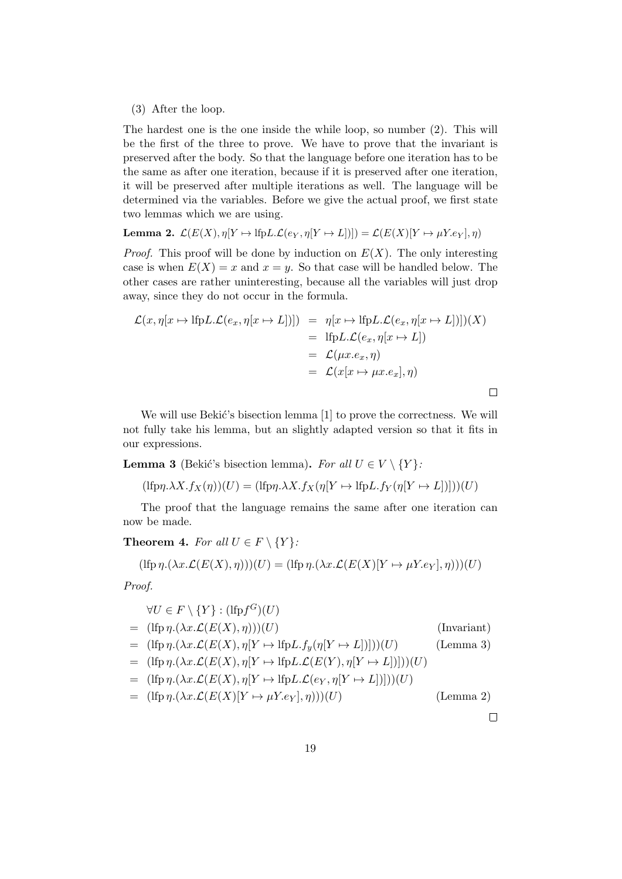#### (3) After the loop.

The hardest one is the one inside the while loop, so number (2). This will be the first of the three to prove. We have to prove that the invariant is preserved after the body. So that the language before one iteration has to be the same as after one iteration, because if it is preserved after one iteration, it will be preserved after multiple iterations as well. The language will be determined via the variables. Before we give the actual proof, we first state two lemmas which we are using.

**Lemma 2.** 
$$
\mathcal{L}(E(X), \eta[Y \to \mathrm{lfp}L \cdot \mathcal{L}(e_Y, \eta[Y \to L])) = \mathcal{L}(E(X)[Y \to \mu Y \cdot e_Y], \eta)
$$

*Proof.* This proof will be done by induction on  $E(X)$ . The only interesting case is when  $E(X) = x$  and  $x = y$ . So that case will be handled below. The other cases are rather uninteresting, because all the variables will just drop away, since they do not occur in the formula.

$$
\mathcal{L}(x, \eta[x \mapsto \text{lfp}L \cdot \mathcal{L}(e_x, \eta[x \mapsto L])]) = \eta[x \mapsto \text{lfp}L \cdot \mathcal{L}(e_x, \eta[x \mapsto L])](X)
$$
  
\n
$$
= \text{lfp}L \cdot \mathcal{L}(e_x, \eta[x \mapsto L])
$$
  
\n
$$
= \mathcal{L}(\mu x. e_x, \eta)
$$
  
\n
$$
= \mathcal{L}(x[x \mapsto \mu x. e_x], \eta)
$$

We will use Bekić's bisection lemma  $[1]$  to prove the correctness. We will not fully take his lemma, but an slightly adapted version so that it fits in our expressions.

**Lemma 3** (Bekić's bisection lemma). For all  $U \in V \setminus \{Y\}$ :

$$
(\text{lfp}\eta.\lambda X.f_X(\eta))(U) = (\text{lfp}\eta.\lambda X.f_X(\eta[Y \mapsto \text{lfp}L.f_Y(\eta[Y \mapsto L]))])(U)
$$

The proof that the language remains the same after one iteration can now be made.

Theorem 4. For all  $U \in F \setminus \{Y\}$ :

$$
(\text{Ifp }\eta.(\lambda x.\mathcal{L}(E(X),\eta)))(U) = (\text{Ifp }\eta.(\lambda x.\mathcal{L}(E(X)[Y \mapsto \mu Y.e_Y],\eta)))(U)
$$

Proof.

$$
\forall U \in F \setminus \{Y\} : (\text{lfp}f^G)(U) \tag{Invariant}
$$
\n
$$
= (\text{lfp}\,\eta.(\lambda x.\mathcal{L}(E(X), \eta)))(U) \tag{Invariant}
$$
\n
$$
= (\text{lfp}\,\eta.(\lambda x.\mathcal{L}(E(X), \eta[Y \mapsto \text{lfp}L.f_y(\eta[Y \mapsto L]))])(U) \tag{Lemma 3}
$$
\n
$$
= (\text{lfp}\,\eta.(\lambda x.\mathcal{L}(E(X), \eta[Y \mapsto \text{lfp}L.\mathcal{L}(E(Y), \eta[Y \mapsto L]))])(U)
$$
\n
$$
= (\text{lfp}\,\eta.(\lambda x.\mathcal{L}(E(X), \eta[Y \mapsto \text{lfp}L.\mathcal{L}(e_Y, \eta[Y \mapsto L)])))(U)
$$
\n
$$
= (\text{lfp}\,\eta.(\lambda x.\mathcal{L}(E(X)[Y \mapsto \mu Y.e_Y], \eta)))(U) \tag{Lemma 2}
$$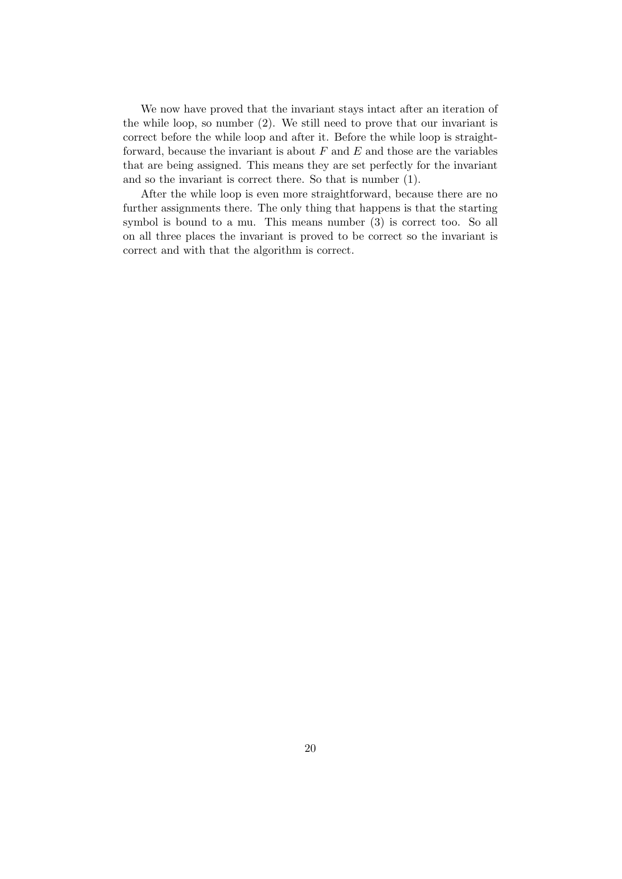We now have proved that the invariant stays intact after an iteration of the while loop, so number (2). We still need to prove that our invariant is correct before the while loop and after it. Before the while loop is straightforward, because the invariant is about  $F$  and  $E$  and those are the variables that are being assigned. This means they are set perfectly for the invariant and so the invariant is correct there. So that is number (1).

After the while loop is even more straightforward, because there are no further assignments there. The only thing that happens is that the starting symbol is bound to a mu. This means number (3) is correct too. So all on all three places the invariant is proved to be correct so the invariant is correct and with that the algorithm is correct.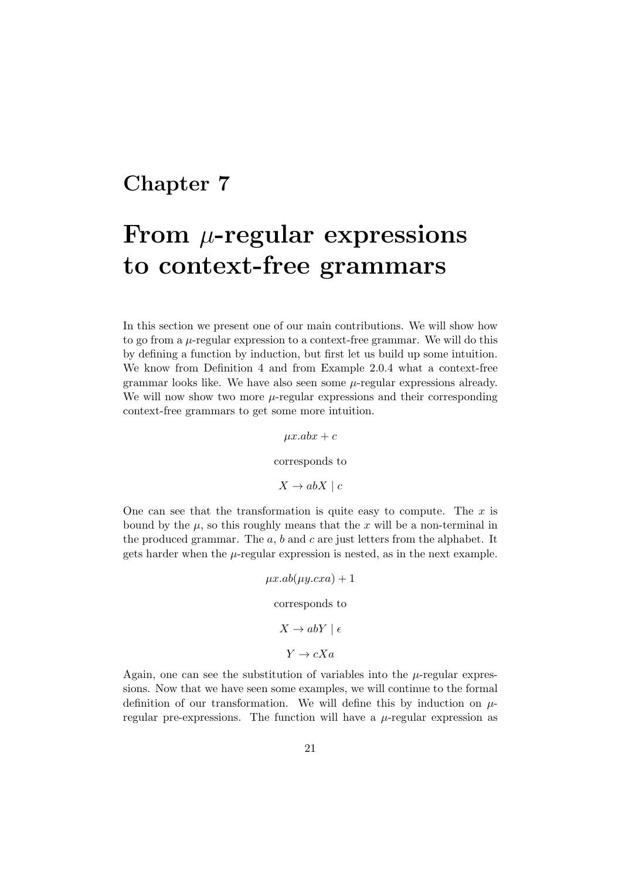## From  $\mu$ -regular expressions to context-free grammars

In this section we present one of our main contributions. We will show how to go from a  $\mu$ -regular expression to a context-free grammar. We will do this by defining a function by induction, but first let us build up some intuition. We know from Definition 4 and from Example 2.0.4 what a context-free grammar looks like. We have also seen some  $\mu$ -regular expressions already. We will now show two more  $\mu$ -regular expressions and their corresponding context-free grammars to get some more intuition.

> $\mu x.$ ab $x + c$ corresponds to  $X \rightarrow abX \mid c$

One can see that the transformation is quite easy to compute. The  $x$  is bound by the  $\mu$ , so this roughly means that the x will be a non-terminal in the produced grammar. The  $a, b$  and  $c$  are just letters from the alphabet. It gets harder when the  $\mu$ -regular expression is nested, as in the next example.

> $\mu x.ab(\mu y.cxa) + 1$ corresponds to  $X \to abY \mid \epsilon$  $Y \rightarrow cXa$

Again, one can see the substitution of variables into the  $\mu$ -regular expressions. Now that we have seen some examples, we will continue to the formal definition of our transformation. We will define this by induction on  $\mu$ regular pre-expressions. The function will have a  $\mu$ -regular expression as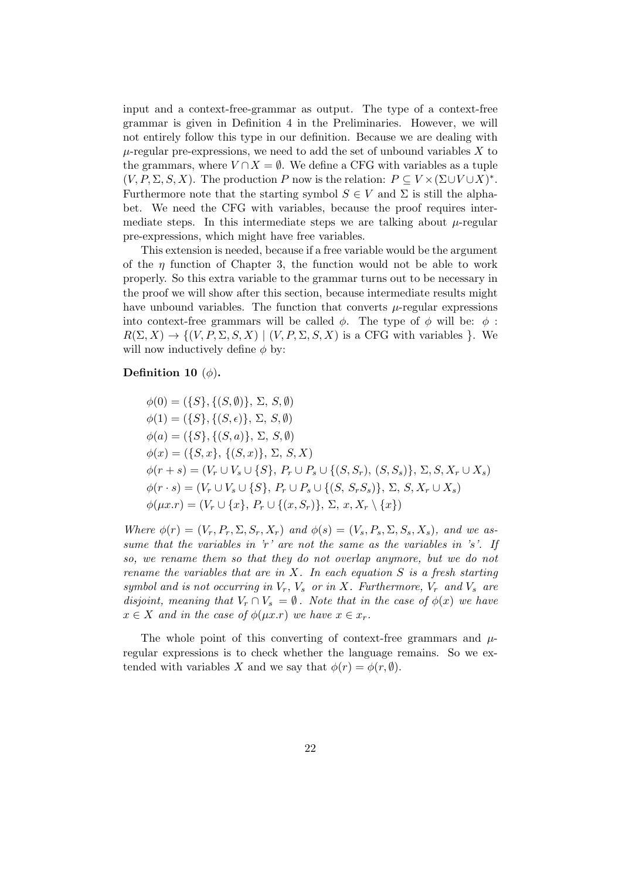input and a context-free-grammar as output. The type of a context-free grammar is given in Definition 4 in the Preliminaries. However, we will not entirely follow this type in our definition. Because we are dealing with  $\mu$ -regular pre-expressions, we need to add the set of unbound variables X to the grammars, where  $V \cap X = \emptyset$ . We define a CFG with variables as a tuple  $(V, P, \Sigma, S, X)$ . The production P now is the relation:  $P \subseteq V \times (\Sigma \cup V \cup X)^*$ . Furthermore note that the starting symbol  $S \in V$  and  $\Sigma$  is still the alphabet. We need the CFG with variables, because the proof requires intermediate steps. In this intermediate steps we are talking about  $\mu$ -regular pre-expressions, which might have free variables.

This extension is needed, because if a free variable would be the argument of the  $\eta$  function of Chapter 3, the function would not be able to work properly. So this extra variable to the grammar turns out to be necessary in the proof we will show after this section, because intermediate results might have unbound variables. The function that converts  $\mu$ -regular expressions into context-free grammars will be called  $\phi$ . The type of  $\phi$  will be:  $\phi$ :  $R(\Sigma, X) \to \{(V, P, \Sigma, S, X) \mid (V, P, \Sigma, S, X)$  is a CFG with variables }. We will now inductively define  $\phi$  by:

#### Definition 10  $(\phi)$ .

 $\phi(0) = (\{S\}, \{(S, \emptyset)\}, \Sigma, S, \emptyset)$  $\phi(1) = (\{S\}, \{(S, \epsilon)\}, \Sigma, S, \emptyset)$  $\phi(a) = (\{S\}, \{(S, a)\}, \Sigma, S, \emptyset)$  $\phi(x) = (\{S, x\}, \{(S, x)\}, \Sigma, S, X)$  $\phi(r+s) = (V_r \cup V_s \cup \{S\}, P_r \cup P_s \cup \{(S, S_r), (S, S_s)\}, \Sigma, S, X_r \cup X_s)$  $\phi(r \cdot s) = (V_r \cup V_s \cup \{S\}, P_r \cup P_s \cup \{(S, S_rS_s)\}, \Sigma, S, X_r \cup X_s)$  $\phi(\mu x.r) = (V_r \cup \{x\}, P_r \cup \{(x, S_r)\}, \Sigma, x, X_r \setminus \{x\})$ 

Where  $\phi(r) = (V_r, P_r, \Sigma, S_r, X_r)$  and  $\phi(s) = (V_s, P_s, \Sigma, S_s, X_s)$ , and we assume that the variables in  $\dot{r}$  are not the same as the variables in  $\dot{s}$ . If so, we rename them so that they do not overlap anymore, but we do not rename the variables that are in  $X$ . In each equation  $S$  is a fresh starting symbol and is not occurring in  $V_r$ ,  $V_s$  or in X. Furthermore,  $V_r$  and  $V_s$  are disjoint, meaning that  $V_r \cap V_s = \emptyset$ . Note that in the case of  $\phi(x)$  we have  $x \in X$  and in the case of  $\phi(\mu x.r)$  we have  $x \in x_r$ .

The whole point of this converting of context-free grammars and  $\mu$ regular expressions is to check whether the language remains. So we extended with variables X and we say that  $\phi(r) = \phi(r, \emptyset)$ .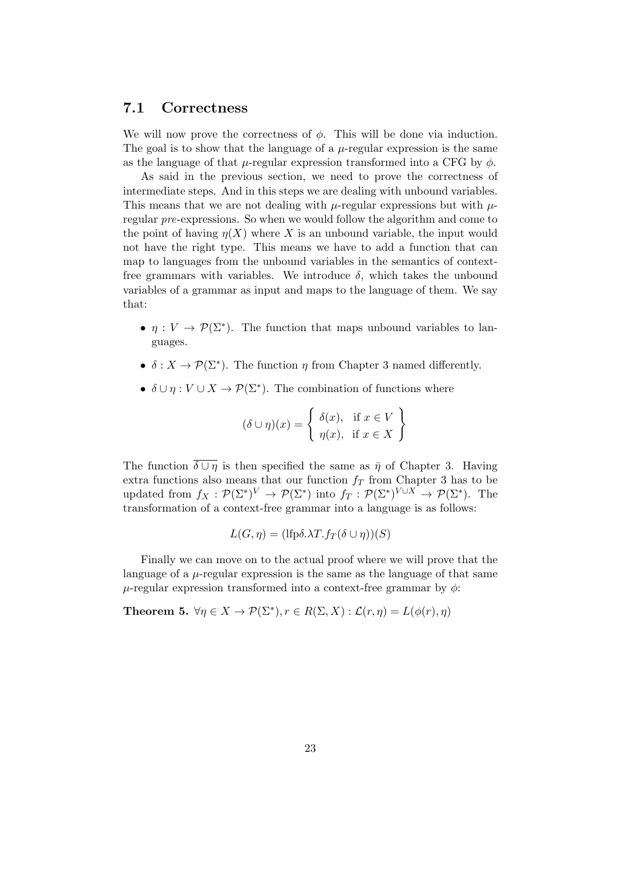#### 7.1 Correctness

We will now prove the correctness of  $\phi$ . This will be done via induction. The goal is to show that the language of a  $\mu$ -regular expression is the same as the language of that  $\mu$ -regular expression transformed into a CFG by  $\phi$ .

As said in the previous section, we need to prove the correctness of intermediate steps. And in this steps we are dealing with unbound variables. This means that we are not dealing with  $\mu$ -regular expressions but with  $\mu$ regular pre-expressions. So when we would follow the algorithm and come to the point of having  $\eta(X)$  where X is an unbound variable, the input would not have the right type. This means we have to add a function that can map to languages from the unbound variables in the semantics of contextfree grammars with variables. We introduce  $\delta$ , which takes the unbound variables of a grammar as input and maps to the language of them. We say that:

- $\eta: V \to \mathcal{P}(\Sigma^*)$ . The function that maps unbound variables to languages.
- $\delta: X \to \mathcal{P}(\Sigma^*)$ . The function  $\eta$  from Chapter 3 named differently.
- $\delta \cup \eta : V \cup X \to \mathcal{P}(\Sigma^*)$ . The combination of functions where

$$
(\delta \cup \eta)(x) = \begin{cases} \delta(x), & \text{if } x \in V \\ \eta(x), & \text{if } x \in X \end{cases}
$$

The function  $\overline{\delta \cup \eta}$  is then specified the same as  $\overline{\eta}$  of Chapter 3. Having extra functions also means that our function  $f<sub>T</sub>$  from Chapter 3 has to be updated from  $f_X: \mathcal{P}(\Sigma^*)^V \to \mathcal{P}(\Sigma^*)$  into  $f_T: \mathcal{P}(\Sigma^*)^{V \cup X} \to \mathcal{P}(\Sigma^*)$ . The transformation of a context-free grammar into a language is as follows:

$$
L(G, \eta) = (\text{lfp}\delta.\lambda T.f_T(\delta \cup \eta))(S)
$$

Finally we can move on to the actual proof where we will prove that the language of a  $\mu$ -regular expression is the same as the language of that same  $\mu$ -regular expression transformed into a context-free grammar by  $\phi$ :

**Theorem 5.**  $\forall \eta \in X \ \rightarrowmathcal{P}(\Sigma^*), r \in R(\Sigma, X) : \mathcal{L}(r, \eta) = L(\phi(r), \eta)$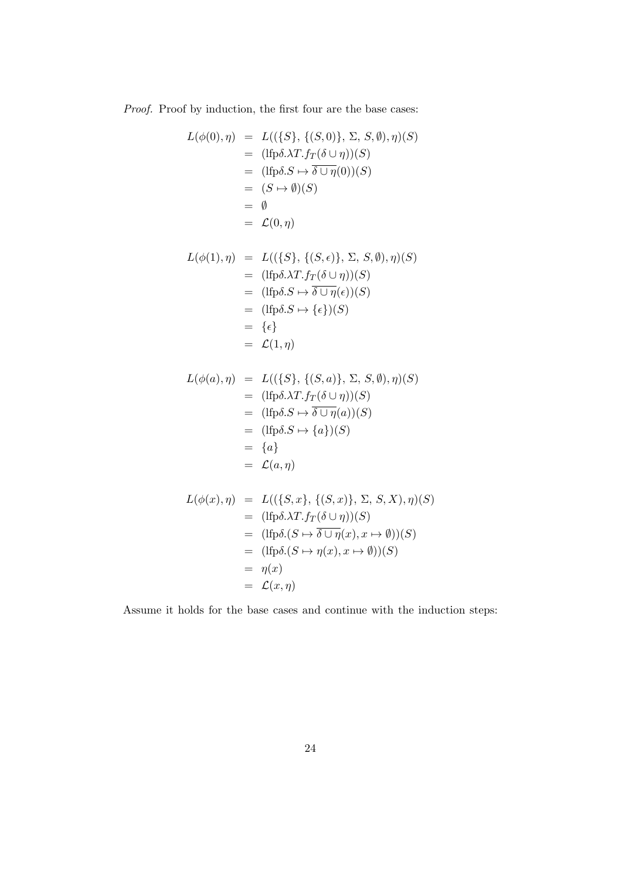Proof. Proof by induction, the first four are the base cases:

$$
L(\phi(0), \eta) = L((\{S\}, \{(S, 0)\}, \Sigma, S, \emptyset), \eta)(S)
$$
  
\n
$$
= (\text{lfp}\delta.\lambda T.f_T(\delta \cup \eta))(S)
$$
  
\n
$$
= (\text{lfp}\delta.S \mapsto \overline{\delta \cup \eta}(0))(S)
$$
  
\n
$$
= (S \mapsto \emptyset)(S)
$$
  
\n
$$
= \emptyset
$$
  
\n
$$
= \mathcal{L}(0, \eta)
$$

$$
L(\phi(1), \eta) = L((\{S\}, \{(S, \epsilon)\}, \Sigma, S, \emptyset), \eta)(S)
$$
  
\n
$$
= (\text{lfp}\delta.\lambda T. f_T(\delta \cup \eta))(S)
$$
  
\n
$$
= (\text{lfp}\delta.S \mapsto \overline{\delta \cup \eta}(\epsilon))(S)
$$
  
\n
$$
= (\text{lfp}\delta.S \mapsto \{\epsilon\})(S)
$$
  
\n
$$
= \{\epsilon\}
$$
  
\n
$$
= \mathcal{L}(1, \eta)
$$

$$
L(\phi(a), \eta) = L((\{S\}, \{(S, a)\}, \Sigma, S, \emptyset), \eta)(S)
$$
  
\n
$$
= (\text{lfp}\delta.\lambda T.f_T(\delta \cup \eta))(S)
$$
  
\n
$$
= (\text{lfp}\delta.S \mapsto \overline{\delta \cup \eta}(a))(S)
$$
  
\n
$$
= (\text{lfp}\delta.S \mapsto \{a\})(S)
$$
  
\n
$$
= \{a\}
$$
  
\n
$$
= \mathcal{L}(a, \eta)
$$

$$
L(\phi(x), \eta) = L((\{S, x\}, \{(S, x)\}, \Sigma, S, X), \eta)(S)
$$
  
\n
$$
= (\text{lfp}\delta.\lambda T. f_T(\delta \cup \eta))(S)
$$
  
\n
$$
= (\text{lfp}\delta.(S \mapsto \overline{\delta \cup \eta}(x), x \mapsto \emptyset))(S)
$$
  
\n
$$
= (\text{lfp}\delta.(S \mapsto \eta(x), x \mapsto \emptyset))(S)
$$
  
\n
$$
= \eta(x)
$$
  
\n
$$
= \mathcal{L}(x, \eta)
$$

Assume it holds for the base cases and continue with the induction steps: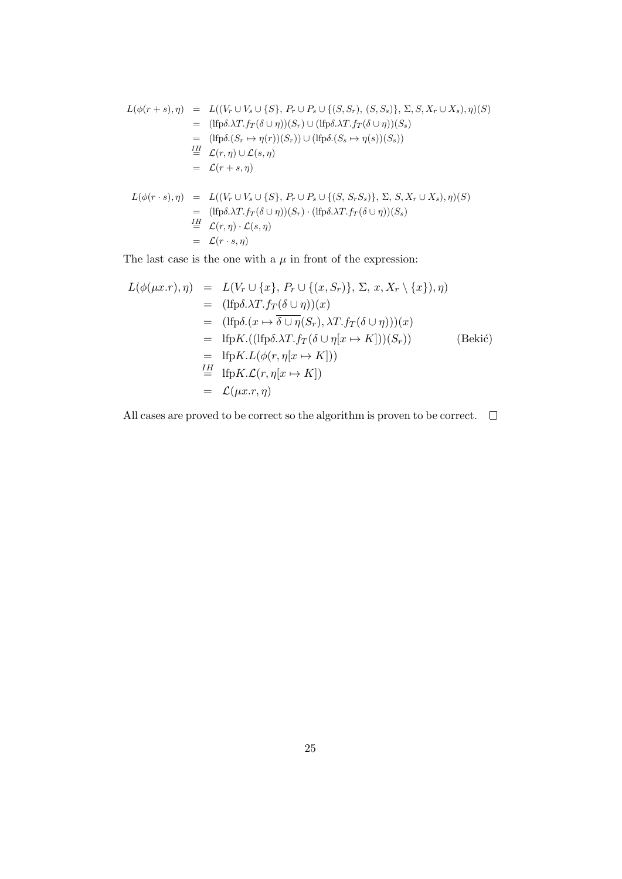$$
L(\phi(r+s), \eta) = L((V_r \cup V_s \cup \{S\}, P_r \cup P_s \cup \{(S, S_r), (S, S_s)\}, \Sigma, S, X_r \cup X_s), \eta)(S)
$$
  
\n
$$
= (\text{lfp}\delta.\lambda T.f_T(\delta \cup \eta))(S_r) \cup (\text{lfp}\delta.\lambda T.f_T(\delta \cup \eta))(S_s)
$$
  
\n
$$
= (\text{lfp}\delta.(S_r \mapsto \eta(r))(S_r)) \cup (\text{lfp}\delta.(S_s \mapsto \eta(s))(S_s))
$$
  
\n
$$
\stackrel{IH}{=} \mathcal{L}(r, \eta) \cup \mathcal{L}(s, \eta)
$$
  
\n
$$
= \mathcal{L}(r+s, \eta)
$$
  
\n
$$
L(\phi(r \cdot s), \eta) = L((V_r \cup V_s \cup \{S\}, P_r \cup P_s \cup \{(S, S_r S_s)\}, \Sigma, S, X_r \cup X_s), \eta)(S)
$$
  
\n
$$
= (\text{lfp}\delta.\lambda T.f_T(\delta \cup \eta))(S_r) \cdot (\text{lfp}\delta.\lambda T.f_T(\delta \cup \eta))(S_s)
$$
  
\n
$$
\stackrel{IH}{=} \mathcal{L}(r, \eta) \cdot \mathcal{L}(s, \eta)
$$
  
\n
$$
= \mathcal{L}(r \cdot s, \eta)
$$

The last case is the one with a  $\mu$  in front of the expression:

$$
L(\phi(\mu x.r), \eta) = L(V_r \cup \{x\}, P_r \cup \{(x, S_r)\}, \Sigma, x, X_r \setminus \{x\}), \eta)
$$
  
\n
$$
= (\text{lfp}\delta.\lambda T.f_T(\delta \cup \eta))(x)
$$
  
\n
$$
= (\text{lfp}\delta.(x \mapsto \overline{\delta \cup \eta}(S_r), \lambda T.f_T(\delta \cup \eta)))(x)
$$
  
\n
$$
= \text{lfp}K.((\text{lfp}\delta.\lambda T.f_T(\delta \cup \eta[x \mapsto K]))(S_r))
$$
  
\n
$$
= \text{lfp}K. L(\phi(r, \eta[x \mapsto K]))
$$
  
\n
$$
\stackrel{\text{IH}}{=} \text{lfp}K. \mathcal{L}(r, \eta[x \mapsto K])
$$
  
\n
$$
= \mathcal{L}(\mu x.r, \eta)
$$

All cases are proved to be correct so the algorithm is proven to be correct.  $\quad \Box$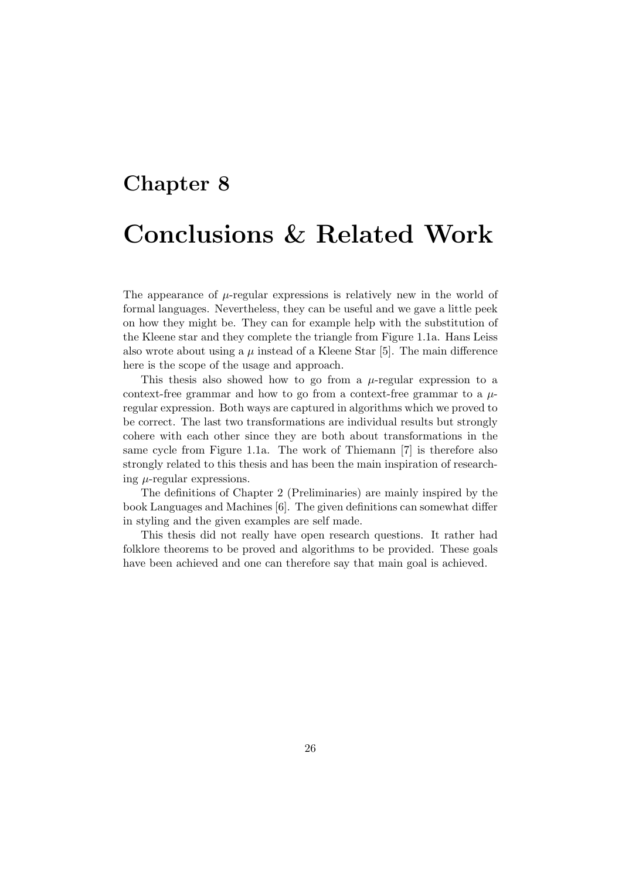# Chapter 8 Conclusions & Related Work

The appearance of  $\mu$ -regular expressions is relatively new in the world of formal languages. Nevertheless, they can be useful and we gave a little peek on how they might be. They can for example help with the substitution of the Kleene star and they complete the triangle from Figure 1.1a. Hans Leiss also wrote about using a  $\mu$  instead of a Kleene Star [5]. The main difference here is the scope of the usage and approach.

This thesis also showed how to go from a  $\mu$ -regular expression to a context-free grammar and how to go from a context-free grammar to a  $\mu$ regular expression. Both ways are captured in algorithms which we proved to be correct. The last two transformations are individual results but strongly cohere with each other since they are both about transformations in the same cycle from Figure 1.1a. The work of Thiemann [7] is therefore also strongly related to this thesis and has been the main inspiration of researching  $\mu$ -regular expressions.

The definitions of Chapter 2 (Preliminaries) are mainly inspired by the book Languages and Machines [6]. The given definitions can somewhat differ in styling and the given examples are self made.

This thesis did not really have open research questions. It rather had folklore theorems to be proved and algorithms to be provided. These goals have been achieved and one can therefore say that main goal is achieved.